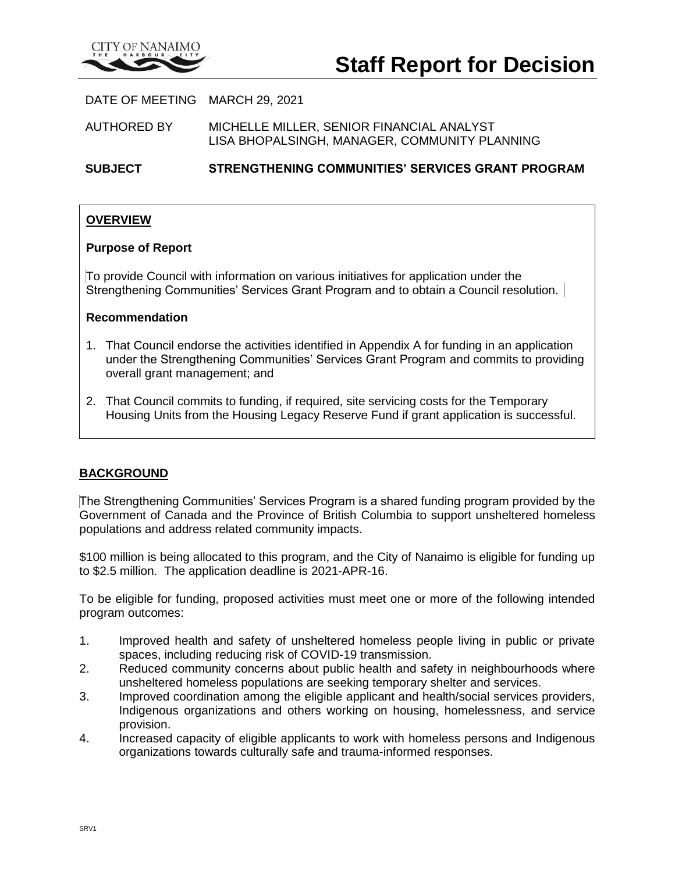

DATE OF MEETING MARCH 29, 2021

AUTHORED BY MICHELLE MILLER, SENIOR FINANCIAL ANALYST LISA BHOPALSINGH, MANAGER, COMMUNITY PLANNING

**SUBJECT STRENGTHENING COMMUNITIES' SERVICES GRANT PROGRAM**

#### **OVERVIEW**

#### **Purpose of Report**

To provide Council with information on various initiatives for application under the Strengthening Communities' Services Grant Program and to obtain a Council resolution.

#### **Recommendation**

- 1. That Council endorse the activities identified in Appendix A for funding in an application under the Strengthening Communities' Services Grant Program and commits to providing overall grant management; and
- 2. That Council commits to funding, if required, site servicing costs for the Temporary Housing Units from the Housing Legacy Reserve Fund if grant application is successful.

#### **BACKGROUND**

The Strengthening Communities' Services Program is a shared funding program provided by the Government of Canada and the Province of British Columbia to support unsheltered homeless populations and address related community impacts.

\$100 million is being allocated to this program, and the City of Nanaimo is eligible for funding up to \$2.5 million. The application deadline is 2021-APR-16.

To be eligible for funding, proposed activities must meet one or more of the following intended program outcomes:

- 1. Improved health and safety of unsheltered homeless people living in public or private spaces, including reducing risk of COVID-19 transmission.
- 2. Reduced community concerns about public health and safety in neighbourhoods where unsheltered homeless populations are seeking temporary shelter and services.
- 3. Improved coordination among the eligible applicant and health/social services providers, Indigenous organizations and others working on housing, homelessness, and service provision.
- 4. Increased capacity of eligible applicants to work with homeless persons and Indigenous organizations towards culturally safe and trauma-informed responses.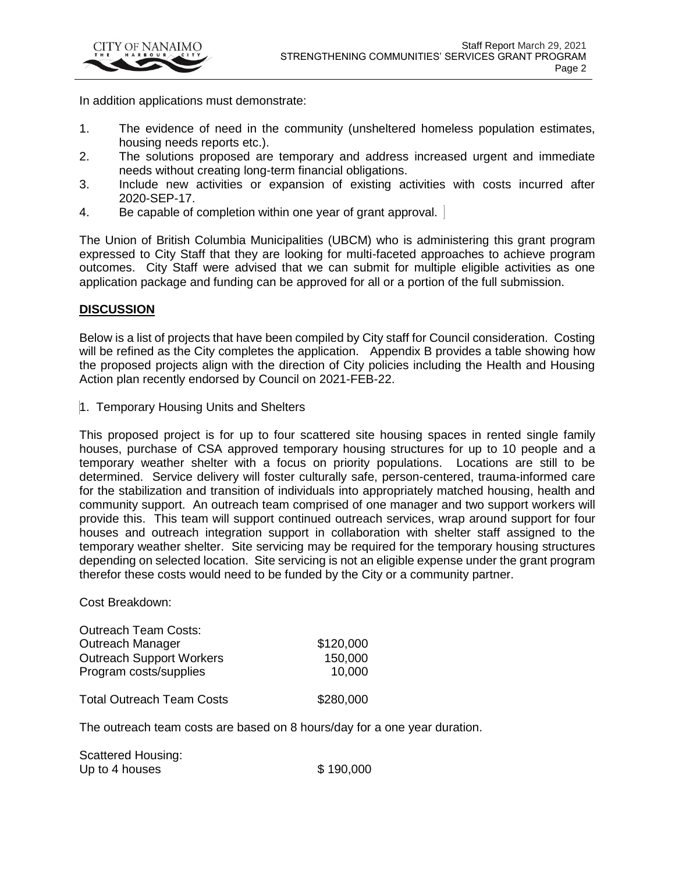

In addition applications must demonstrate:

- 1. The evidence of need in the community (unsheltered homeless population estimates, housing needs reports etc.).
- 2. The solutions proposed are temporary and address increased urgent and immediate needs without creating long-term financial obligations.
- 3. Include new activities or expansion of existing activities with costs incurred after 2020-SEP-17.
- 4. Be capable of completion within one year of grant approval.

The Union of British Columbia Municipalities (UBCM) who is administering this grant program expressed to City Staff that they are looking for multi-faceted approaches to achieve program outcomes. City Staff were advised that we can submit for multiple eligible activities as one application package and funding can be approved for all or a portion of the full submission.

#### **DISCUSSION**

Below is a list of projects that have been compiled by City staff for Council consideration. Costing will be refined as the City completes the application. Appendix B provides a table showing how the proposed projects align with the direction of City policies including the Health and Housing Action plan recently endorsed by Council on 2021-FEB-22.

1. Temporary Housing Units and Shelters

This proposed project is for up to four scattered site housing spaces in rented single family houses, purchase of CSA approved temporary housing structures for up to 10 people and a temporary weather shelter with a focus on priority populations. Locations are still to be determined. Service delivery will foster culturally safe, person-centered, trauma-informed care for the stabilization and transition of individuals into appropriately matched housing, health and community support. An outreach team comprised of one manager and two support workers will provide this. This team will support continued outreach services, wrap around support for four houses and outreach integration support in collaboration with shelter staff assigned to the temporary weather shelter. Site servicing may be required for the temporary housing structures depending on selected location. Site servicing is not an eligible expense under the grant program therefor these costs would need to be funded by the City or a community partner.

Cost Breakdown:

| <b>Outreach Team Costs:</b>      |           |
|----------------------------------|-----------|
| Outreach Manager                 | \$120,000 |
| <b>Outreach Support Workers</b>  | 150,000   |
| Program costs/supplies           | 10,000    |
|                                  |           |
| <b>Total Outreach Team Costs</b> | \$280,000 |

The outreach team costs are based on 8 hours/day for a one year duration.

Scattered Housing: Up to 4 houses  $$ 190,000$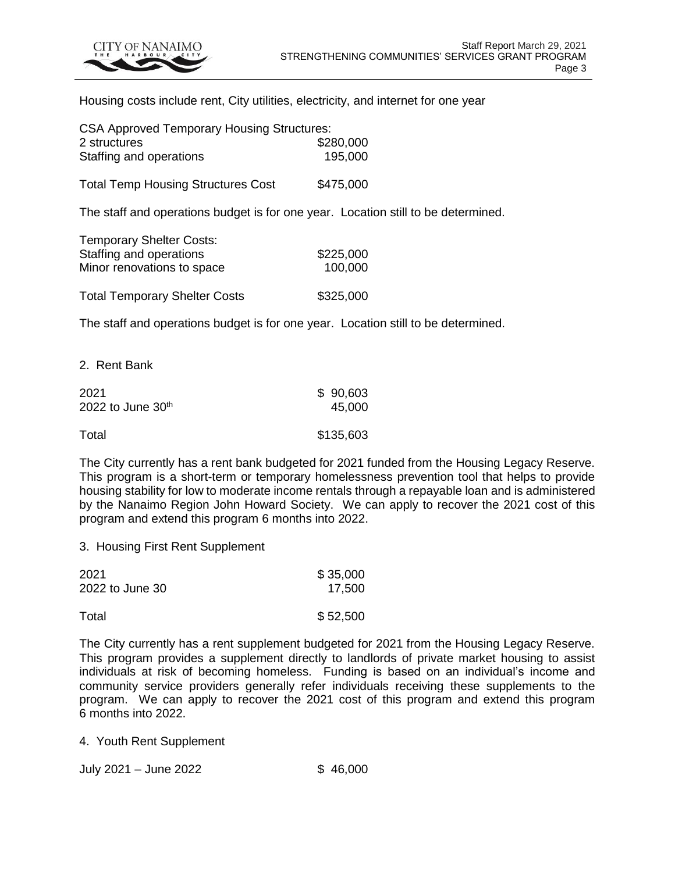

Housing costs include rent, City utilities, electricity, and internet for one year

| <b>CSA Approved Temporary Housing Structures:</b>                                 |           |  |  |
|-----------------------------------------------------------------------------------|-----------|--|--|
| 2 structures                                                                      | \$280,000 |  |  |
| Staffing and operations                                                           | 195,000   |  |  |
| <b>Total Temp Housing Structures Cost</b>                                         | \$475,000 |  |  |
| The staff and operations budget is for one year. Location still to be determined. |           |  |  |
| <b>Temporary Shelter Costs:</b>                                                   |           |  |  |
| Staffing and operations                                                           | \$225,000 |  |  |
| Minor renovations to space                                                        | 100,000   |  |  |
| <b>Total Temporary Shelter Costs</b>                                              | \$325,000 |  |  |
| The staff and operations budget is for one year. Location still to be determined. |           |  |  |
|                                                                                   |           |  |  |

2. Rent Bank

| 2021                | \$90,603  |
|---------------------|-----------|
| 2022 to June $30th$ | 45,000    |
| Total               | \$135,603 |

The City currently has a rent bank budgeted for 2021 funded from the Housing Legacy Reserve. This program is a short-term or temporary homelessness prevention tool that helps to provide housing stability for low to moderate income rentals through a repayable loan and is administered by the Nanaimo Region John Howard Society. We can apply to recover the 2021 cost of this program and extend this program 6 months into 2022.

3. Housing First Rent Supplement

| 2021            | \$35,000 |
|-----------------|----------|
| 2022 to June 30 | 17,500   |
| Total           | \$52,500 |

The City currently has a rent supplement budgeted for 2021 from the Housing Legacy Reserve. This program provides a supplement directly to landlords of private market housing to assist individuals at risk of becoming homeless. Funding is based on an individual's income and community service providers generally refer individuals receiving these supplements to the program. We can apply to recover the 2021 cost of this program and extend this program 6 months into 2022.

4. Youth Rent Supplement

July 2021 – June 2022 \$ 46,000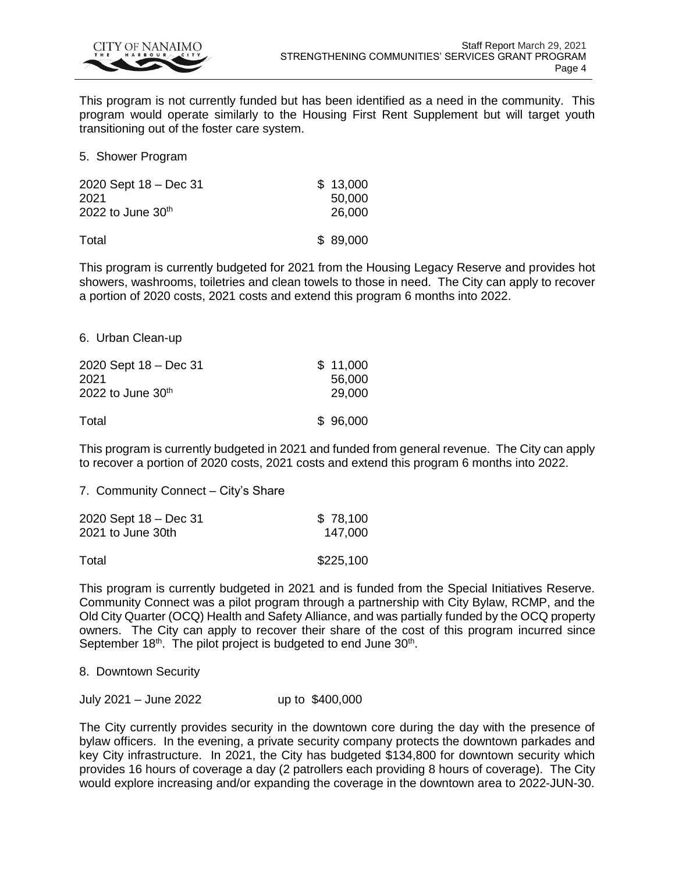

This program is not currently funded but has been identified as a need in the community. This program would operate similarly to the Housing First Rent Supplement but will target youth transitioning out of the foster care system.

5. Shower Program

| 2020 Sept 18 - Dec 31 | \$13,000 |
|-----------------------|----------|
| 2021                  | 50,000   |
| 2022 to June $30th$   | 26,000   |
| Total                 | \$89,000 |

This program is currently budgeted for 2021 from the Housing Legacy Reserve and provides hot showers, washrooms, toiletries and clean towels to those in need. The City can apply to recover a portion of 2020 costs, 2021 costs and extend this program 6 months into 2022.

6. Urban Clean-up

| 2020 Sept 18 - Dec 31 | \$11,000 |
|-----------------------|----------|
| 2021                  | 56,000   |
| 2022 to June $30th$   | 29,000   |
| Total                 | \$96,000 |

This program is currently budgeted in 2021 and funded from general revenue. The City can apply to recover a portion of 2020 costs, 2021 costs and extend this program 6 months into 2022.

7. Community Connect – City's Share

| 2020 Sept 18 - Dec 31 | \$78,100  |
|-----------------------|-----------|
| 2021 to June 30th     | 147,000   |
| Total                 | \$225,100 |

This program is currently budgeted in 2021 and is funded from the Special Initiatives Reserve. Community Connect was a pilot program through a partnership with City Bylaw, RCMP, and the Old City Quarter (OCQ) Health and Safety Alliance, and was partially funded by the OCQ property owners. The City can apply to recover their share of the cost of this program incurred since September  $18<sup>th</sup>$ . The pilot project is budgeted to end June  $30<sup>th</sup>$ .

8. Downtown Security

July 2021 – June 2022 up to \$400,000

The City currently provides security in the downtown core during the day with the presence of bylaw officers. In the evening, a private security company protects the downtown parkades and key City infrastructure. In 2021, the City has budgeted \$134,800 for downtown security which provides 16 hours of coverage a day (2 patrollers each providing 8 hours of coverage). The City would explore increasing and/or expanding the coverage in the downtown area to 2022-JUN-30.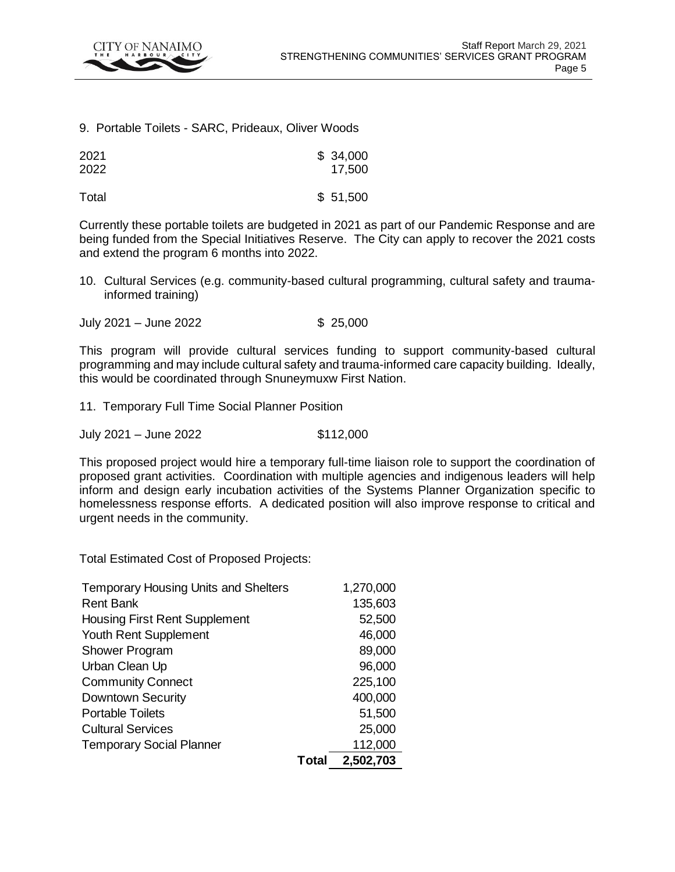

#### 9. Portable Toilets - SARC, Prideaux, Oliver Woods

| 2021 | \$34,000 |
|------|----------|
| 2022 | 17,500   |
|      |          |

Total \$ 51,500

Currently these portable toilets are budgeted in 2021 as part of our Pandemic Response and are being funded from the Special Initiatives Reserve. The City can apply to recover the 2021 costs and extend the program 6 months into 2022.

- 10. Cultural Services (e.g. community-based cultural programming, cultural safety and traumainformed training)
- July 2021 June 2022 \$ 25,000

This program will provide cultural services funding to support community-based cultural programming and may include cultural safety and trauma-informed care capacity building. Ideally, this would be coordinated through Snuneymuxw First Nation.

- 11. Temporary Full Time Social Planner Position
- July 2021 June 2022 \$112,000

This proposed project would hire a temporary full-time liaison role to support the coordination of proposed grant activities. Coordination with multiple agencies and indigenous leaders will help inform and design early incubation activities of the Systems Planner Organization specific to homelessness response efforts. A dedicated position will also improve response to critical and urgent needs in the community.

Total Estimated Cost of Proposed Projects:

| <b>Temporary Housing Units and Shelters</b> |       | 1,270,000 |
|---------------------------------------------|-------|-----------|
| <b>Rent Bank</b>                            |       | 135,603   |
| <b>Housing First Rent Supplement</b>        |       | 52,500    |
| Youth Rent Supplement                       |       | 46,000    |
| <b>Shower Program</b>                       |       | 89,000    |
| Urban Clean Up                              |       | 96,000    |
| <b>Community Connect</b>                    |       | 225,100   |
| Downtown Security                           |       | 400,000   |
| <b>Portable Toilets</b>                     |       | 51,500    |
| <b>Cultural Services</b>                    |       | 25,000    |
| <b>Temporary Social Planner</b>             |       | 112,000   |
|                                             | Total | 2,502,703 |